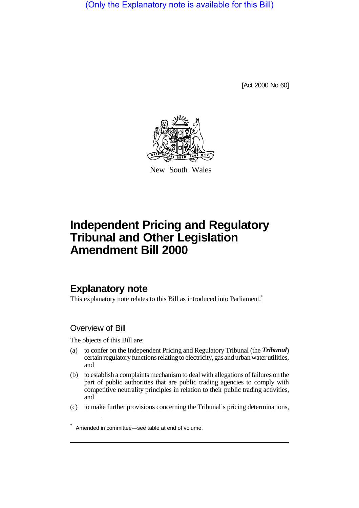(Only the Explanatory note is available for this Bill)

[Act 2000 No 60]



New South Wales

# **Independent Pricing and Regulatory Tribunal and Other Legislation Amendment Bill 2000**

### **Explanatory note**

This explanatory note relates to this Bill as introduced into Parliament.<sup>\*</sup>

### Overview of Bill

The objects of this Bill are:

- (a) to confer on the Independent Pricing and Regulatory Tribunal (the *Tribunal*) certain regulatory functions relating to electricity, gas and urban water utilities, and
- (b) to establish a complaints mechanism to deal with allegations of failures on the part of public authorities that are public trading agencies to comply with competitive neutrality principles in relation to their public trading activities, and
- (c) to make further provisions concerning the Tribunal's pricing determinations,

<sup>\*</sup> Amended in committee—see table at end of volume.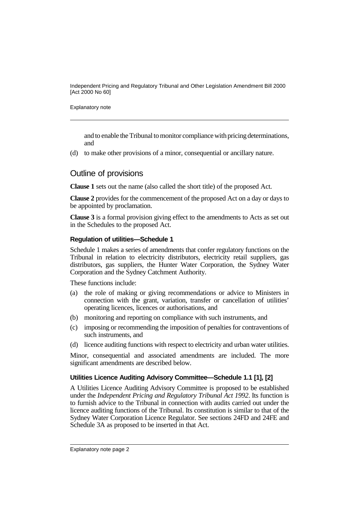Explanatory note

and to enable the Tribunal to monitor compliance with pricing determinations, and

(d) to make other provisions of a minor, consequential or ancillary nature.

### Outline of provisions

**Clause 1** sets out the name (also called the short title) of the proposed Act.

**Clause 2** provides for the commencement of the proposed Act on a day or days to be appointed by proclamation.

**Clause 3** is a formal provision giving effect to the amendments to Acts as set out in the Schedules to the proposed Act.

#### **Regulation of utilities—Schedule 1**

Schedule 1 makes a series of amendments that confer regulatory functions on the Tribunal in relation to electricity distributors, electricity retail suppliers, gas distributors, gas suppliers, the Hunter Water Corporation, the Sydney Water Corporation and the Sydney Catchment Authority.

These functions include:

- (a) the role of making or giving recommendations or advice to Ministers in connection with the grant, variation, transfer or cancellation of utilities' operating licences, licences or authorisations, and
- (b) monitoring and reporting on compliance with such instruments, and
- (c) imposing or recommending the imposition of penalties for contraventions of such instruments, and
- (d) licence auditing functions with respect to electricity and urban water utilities.

Minor, consequential and associated amendments are included. The more significant amendments are described below.

#### **Utilities Licence Auditing Advisory Committee—Schedule 1.1 [1], [2]**

A Utilities Licence Auditing Advisory Committee is proposed to be established under the *Independent Pricing and Regulatory Tribunal Act 1992*. Its function is to furnish advice to the Tribunal in connection with audits carried out under the licence auditing functions of the Tribunal. Its constitution is similar to that of the Sydney Water Corporation Licence Regulator. See sections 24FD and 24FE and Schedule 3A as proposed to be inserted in that Act.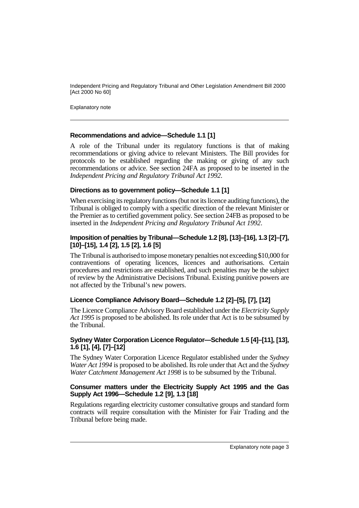Explanatory note

#### **Recommendations and advice—Schedule 1.1 [1]**

A role of the Tribunal under its regulatory functions is that of making recommendations or giving advice to relevant Ministers. The Bill provides for protocols to be established regarding the making or giving of any such recommendations or advice. See section 24FA as proposed to be inserted in the *Independent Pricing and Regulatory Tribunal Act 1992*.

#### **Directions as to government policy—Schedule 1.1 [1]**

When exercising its regulatory functions (but not its licence auditing functions), the Tribunal is obliged to comply with a specific direction of the relevant Minister or the Premier as to certified government policy. See section 24FB as proposed to be inserted in the *Independent Pricing and Regulatory Tribunal Act 1992*.

#### **Imposition of penalties by Tribunal—Schedule 1.2 [8], [13]–[16], 1.3 [2]–[7], [10]–[15], 1.4 [2], 1.5 [2], 1.6 [5]**

The Tribunal is authorised to impose monetary penalties not exceeding \$10,000 for contraventions of operating licences, licences and authorisations. Certain procedures and restrictions are established, and such penalties may be the subject of review by the Administrative Decisions Tribunal. Existing punitive powers are not affected by the Tribunal's new powers.

#### **Licence Compliance Advisory Board—Schedule 1.2 [2]–[5], [7], [12]**

The Licence Compliance Advisory Board established under the *Electricity Supply Act 1995* is proposed to be abolished. Its role under that Act is to be subsumed by the Tribunal.

#### **Sydney Water Corporation Licence Regulator—Schedule 1.5 [4]–[11], [13], 1.6 [1], [4], [7]–[12]**

The Sydney Water Corporation Licence Regulator established under the *Sydney Water Act 1994* is proposed to be abolished. Its role under that Act and the *Sydney Water Catchment Management Act 1998* is to be subsumed by the Tribunal.

#### **Consumer matters under the Electricity Supply Act 1995 and the Gas Supply Act 1996—Schedule 1.2 [9], 1.3 [18]**

Regulations regarding electricity customer consultative groups and standard form contracts will require consultation with the Minister for Fair Trading and the Tribunal before being made.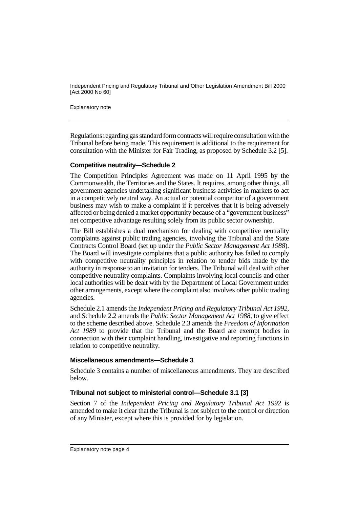Explanatory note

Regulations regarding gas standard form contracts will require consultation with the Tribunal before being made. This requirement is additional to the requirement for consultation with the Minister for Fair Trading, as proposed by Schedule 3.2 [5].

#### **Competitive neutrality—Schedule 2**

The Competition Principles Agreement was made on 11 April 1995 by the Commonwealth, the Territories and the States. It requires, among other things, all government agencies undertaking significant business activities in markets to act in a competitively neutral way. An actual or potential competitor of a government business may wish to make a complaint if it perceives that it is being adversely affected or being denied a market opportunity because of a "government business" net competitive advantage resulting solely from its public sector ownership.

The Bill establishes a dual mechanism for dealing with competitive neutrality complaints against public trading agencies, involving the Tribunal and the State Contracts Control Board (set up under the *Public Sector Management Act 1988*). The Board will investigate complaints that a public authority has failed to comply with competitive neutrality principles in relation to tender bids made by the authority in response to an invitation for tenders. The Tribunal will deal with other competitive neutrality complaints. Complaints involving local councils and other local authorities will be dealt with by the Department of Local Government under other arrangements, except where the complaint also involves other public trading agencies.

Schedule 2.1 amends the *Independent Pricing and Regulatory Tribunal Act 1992*, and Schedule 2.2 amends the *Public Sector Management Act 1988*, to give effect to the scheme described above. Schedule 2.3 amends the *Freedom of Information Act 1989* to provide that the Tribunal and the Board are exempt bodies in connection with their complaint handling, investigative and reporting functions in relation to competitive neutrality.

#### **Miscellaneous amendments—Schedule 3**

Schedule 3 contains a number of miscellaneous amendments. They are described below.

#### **Tribunal not subject to ministerial control—Schedule 3.1 [3]**

Section 7 of the *Independent Pricing and Regulatory Tribunal Act 1992* is amended to make it clear that the Tribunal is not subject to the control or direction of any Minister, except where this is provided for by legislation.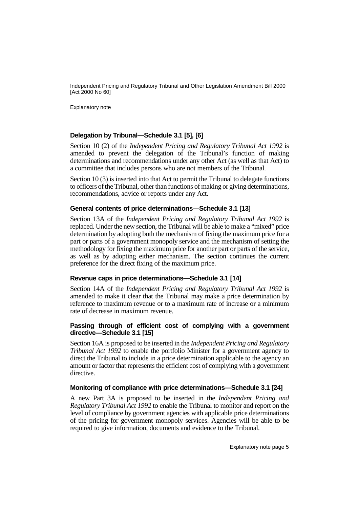Explanatory note

#### **Delegation by Tribunal—Schedule 3.1 [5], [6]**

Section 10 (2) of the *Independent Pricing and Regulatory Tribunal Act 1992* is amended to prevent the delegation of the Tribunal's function of making determinations and recommendations under any other Act (as well as that Act) to a committee that includes persons who are not members of the Tribunal.

Section 10 (3) is inserted into that Act to permit the Tribunal to delegate functions to officers of the Tribunal, other than functions of making or giving determinations, recommendations, advice or reports under any Act.

#### **General contents of price determinations—Schedule 3.1 [13]**

Section 13A of the *Independent Pricing and Regulatory Tribunal Act 1992* is replaced. Under the new section, the Tribunal will be able to make a "mixed" price determination by adopting both the mechanism of fixing the maximum price for a part or parts of a government monopoly service and the mechanism of setting the methodology for fixing the maximum price for another part or parts of the service, as well as by adopting either mechanism. The section continues the current preference for the direct fixing of the maximum price.

#### **Revenue caps in price determinations—Schedule 3.1 [14]**

Section 14A of the *Independent Pricing and Regulatory Tribunal Act 1992* is amended to make it clear that the Tribunal may make a price determination by reference to maximum revenue or to a maximum rate of increase or a minimum rate of decrease in maximum revenue.

#### **Passing through of efficient cost of complying with a government directive—Schedule 3.1 [15]**

Section 16A is proposed to be inserted in the *Independent Pricing and Regulatory Tribunal Act 1992* to enable the portfolio Minister for a government agency to direct the Tribunal to include in a price determination applicable to the agency an amount or factor that represents the efficient cost of complying with a government directive.

#### **Monitoring of compliance with price determinations—Schedule 3.1 [24]**

A new Part 3A is proposed to be inserted in the *Independent Pricing and Regulatory Tribunal Act 1992* to enable the Tribunal to monitor and report on the level of compliance by government agencies with applicable price determinations of the pricing for government monopoly services. Agencies will be able to be required to give information, documents and evidence to the Tribunal.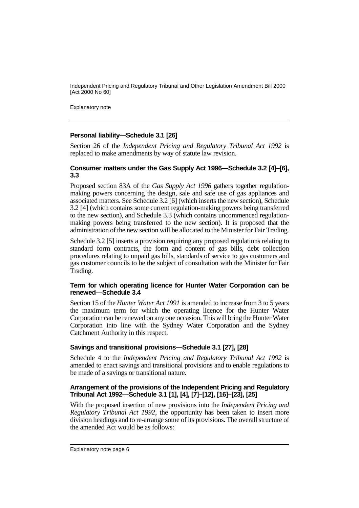Explanatory note

#### **Personal liability—Schedule 3.1 [26]**

Section 26 of the *Independent Pricing and Regulatory Tribunal Act 1992* is replaced to make amendments by way of statute law revision.

#### **Consumer matters under the Gas Supply Act 1996—Schedule 3.2 [4]–[6], 3.3**

Proposed section 83A of the *Gas Supply Act 1996* gathers together regulationmaking powers concerning the design, sale and safe use of gas appliances and associated matters. See Schedule 3.2 [6] (which inserts the new section), Schedule 3.2 [4] (which contains some current regulation-making powers being transferred to the new section), and Schedule 3.3 (which contains uncommenced regulationmaking powers being transferred to the new section). It is proposed that the administration of the new section will be allocated to the Minister for Fair Trading.

Schedule 3.2 [5] inserts a provision requiring any proposed regulations relating to standard form contracts, the form and content of gas bills, debt collection procedures relating to unpaid gas bills, standards of service to gas customers and gas customer councils to be the subject of consultation with the Minister for Fair Trading.

#### **Term for which operating licence for Hunter Water Corporation can be renewed—Schedule 3.4**

Section 15 of the *Hunter Water Act 1991* is amended to increase from 3 to 5 years the maximum term for which the operating licence for the Hunter Water Corporation can be renewed on any one occasion. This will bring the Hunter Water Corporation into line with the Sydney Water Corporation and the Sydney Catchment Authority in this respect.

#### **Savings and transitional provisions—Schedule 3.1 [27], [28]**

Schedule 4 to the *Independent Pricing and Regulatory Tribunal Act 1992* is amended to enact savings and transitional provisions and to enable regulations to be made of a savings or transitional nature.

#### **Arrangement of the provisions of the Independent Pricing and Regulatory Tribunal Act 1992—Schedule 3.1 [1], [4], [7]–[12], [16]–[23], [25]**

With the proposed insertion of new provisions into the *Independent Pricing and Regulatory Tribunal Act 1992*, the opportunity has been taken to insert more division headings and to re-arrange some of its provisions. The overall structure of the amended Act would be as follows: